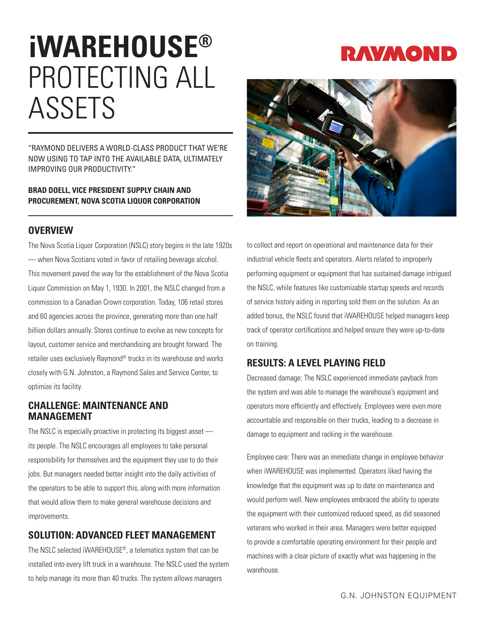# **iWAREHOUSE®** PROTECTING ALL ASSETS

"RAYMOND DELIVERS A WORLD-CLASS PRODUCT THAT WE'RE NOW USING TO TAP INTO THE AVAILABLE DATA, ULTIMATELY IMPROVING OUR PRODUCTIVITY."

#### **BRAD DOELL, VICE PRESIDENT SUPPLY CHAIN AND PROCUREMENT, NOVA SCOTIA LIQUOR CORPORATION**

### **OVERVIEW**

The Nova Scotia Liquor Corporation (NSLC) story begins in the late 1920s — when Nova Scotians voted in favor of retailing beverage alcohol. This movement paved the way for the establishment of the Nova Scotia Liquor Commission on May 1, 1930. In 2001, the NSLC changed from a commission to a Canadian Crown corporation. Today, 106 retail stores and 60 agencies across the province, generating more than one half billion dollars annually. Stores continue to evolve as new concepts for layout, customer service and merchandising are brought forward. The retailer uses exclusively Raymond® trucks in its warehouse and works closely with G.N. Johnston, a Raymond Sales and Service Center, to optimize its facility.

#### **CHALLENGE: MAINTENANCE AND MANAGEMENT**

The NSLC is especially proactive in protecting its biggest asset its people. The NSLC encourages all employees to take personal responsibility for themselves and the equipment they use to do their jobs. But managers needed better insight into the daily activities of the operators to be able to support this, along with more information that would allow them to make general warehouse decisions and improvements.

## **SOLUTION: ADVANCED FLEET MANAGEMENT**

The NSLC selected iWAREHOUSE®, a telematics system that can be installed into every lift truck in a warehouse. The NSLC used the system to help manage its more than 40 trucks. The system allows managers





to collect and report on operational and maintenance data for their industrial vehicle fleets and operators. Alerts related to improperly performing equipment or equipment that has sustained damage intrigued the NSLC, while features like customizable startup speeds and records of service history aiding in reporting sold them on the solution. As an added bonus, the NSLC found that iWAREHOUSE helped managers keep track of operator certifications and helped ensure they were up-to-date on training.

## **RESULTS: A LEVEL PLAYING FIELD**

Decreased damage: The NSLC experienced immediate payback from the system and was able to manage the warehouse's equipment and operators more efficiently and effectively. Employees were even more accountable and responsible on their trucks, leading to a decrease in damage to equipment and racking in the warehouse.

Employee care: There was an immediate change in employee behavior when iWAREHOUSE was implemented. Operators liked having the knowledge that the equipment was up to date on maintenance and would perform well. New employees embraced the ability to operate the equipment with their customized reduced speed, as did seasoned veterans who worked in their area. Managers were better equipped to provide a comfortable operating environment for their people and machines with a clear picture of exactly what was happening in the warehouse.